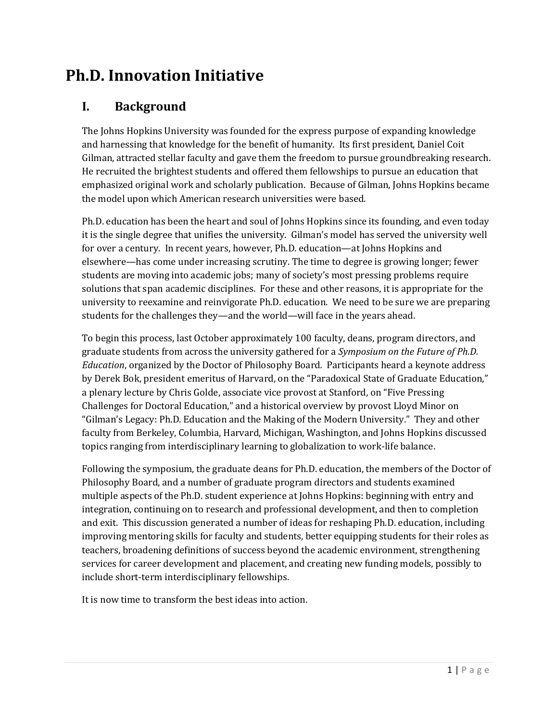# **Ph.D. Innovation Initiative**

### **I. Background**

The Johns Hopkins University was founded for the express purpose of expanding knowledge and harnessing that knowledge for the benefit of humanity. Its first president, Daniel Coit Gilman, attracted stellar faculty and gave them the freedom to pursue groundbreaking research. He recruited the brightest students and offered them fellowships to pursue an education that emphasized original work and scholarly publication. Because of Gilman, Johns Hopkins became the model upon which American research universities were based.

Ph.D. education has been the heart and soul of Johns Hopkins since its founding, and even today it is the single degree that unifies the university. Gilman's model has served the university well for over a century. In recent years, however, Ph.D. education—at Johns Hopkins and elsewhere—has come under increasing scrutiny. The time to degree is growing longer; fewer students are moving into academic jobs; many of society's most pressing problems require solutions that span academic disciplines. For these and other reasons, it is appropriate for the university to reexamine and reinvigorate Ph.D. education. We need to be sure we are preparing students for the challenges they—and the world—will face in the years ahead.

To begin this process, last October approximately 100 faculty, deans, program directors, and graduate students from across the university gathered for a *Symposium on the Future of Ph.D. Education*, organized by the Doctor of Philosophy Board*.* Participants heard a keynote address by Derek Bok, president emeritus of Harvard, on the "Paradoxical State of Graduate Education," a plenary lecture by Chris Golde, associate vice provost at Stanford, on "Five Pressing Challenges for Doctoral Education," and a historical overview by provost Lloyd Minor on "Gilman's Legacy: Ph.D. Education and the Making of the Modern University." They and other faculty from Berkeley, Columbia, Harvard, Michigan, Washington, and Johns Hopkins discussed topics ranging from interdisciplinary learning to globalization to work-life balance.

Following the symposium, the graduate deans for Ph.D. education, the members of the Doctor of Philosophy Board, and a number of graduate program directors and students examined multiple aspects of the Ph.D. student experience at Johns Hopkins: beginning with entry and integration, continuing on to research and professional development, and then to completion and exit. This discussion generated a number of ideas for reshaping Ph.D. education, including improving mentoring skills for faculty and students, better equipping students for their roles as teachers, broadening definitions of success beyond the academic environment, strengthening services for career development and placement, and creating new funding models, possibly to include short-term interdisciplinary fellowships.

It is now time to transform the best ideas into action.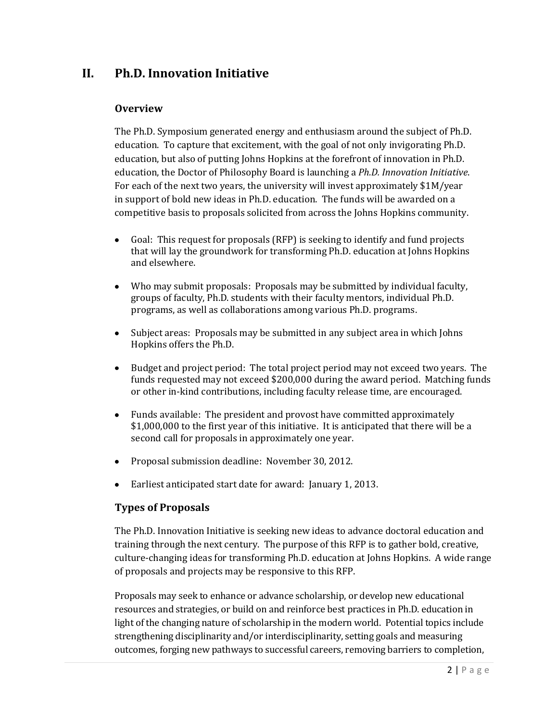### **II. Ph.D. Innovation Initiative**

#### **Overview**

The Ph.D. Symposium generated energy and enthusiasm around the subject of Ph.D. education. To capture that excitement, with the goal of not only invigorating Ph.D. education, but also of putting Johns Hopkins at the forefront of innovation in Ph.D. education, the Doctor of Philosophy Board is launching a *Ph.D. Innovation Initiative*. For each of the next two years, the university will invest approximately \$1M/year in support of bold new ideas in Ph.D. education. The funds will be awarded on a competitive basis to proposals solicited from across the Johns Hopkins community.

- $\bullet$ Goal: This request for proposals (RFP) is seeking to identify and fund projects that will lay the groundwork for transforming Ph.D. education at Johns Hopkins and elsewhere.
- Who may submit proposals: Proposals may be submitted by individual faculty,  $\bullet$ groups of faculty, Ph.D. students with their faculty mentors, individual Ph.D. programs, as well as collaborations among various Ph.D. programs.
- Subject areas: Proposals may be submitted in any subject area in which Johns  $\bullet$ Hopkins offers the Ph.D.
- Budget and project period: The total project period may not exceed two years. The  $\bullet$  . funds requested may not exceed \$200,000 during the award period. Matching funds or other in-kind contributions, including faculty release time, are encouraged.
- $\bullet$ Funds available: The president and provost have committed approximately \$1,000,000 to the first year of this initiative. It is anticipated that there will be a second call for proposals in approximately one year.
- Proposal submission deadline: November 30, 2012.
- Earliest anticipated start date for award: January 1, 2013.  $\bullet$

### **Types of Proposals**

The Ph.D. Innovation Initiative is seeking new ideas to advance doctoral education and training through the next century. The purpose of this RFP is to gather bold, creative, culture-changing ideas for transforming Ph.D. education at Johns Hopkins. A wide range of proposals and projects may be responsive to this RFP.

Proposals may seek to enhance or advance scholarship, or develop new educational resources and strategies, or build on and reinforce best practices in Ph.D. education in light of the changing nature of scholarship in the modern world. Potential topics include strengthening disciplinarity and/or interdisciplinarity, setting goals and measuring outcomes, forging new pathways to successful careers, removing barriers to completion,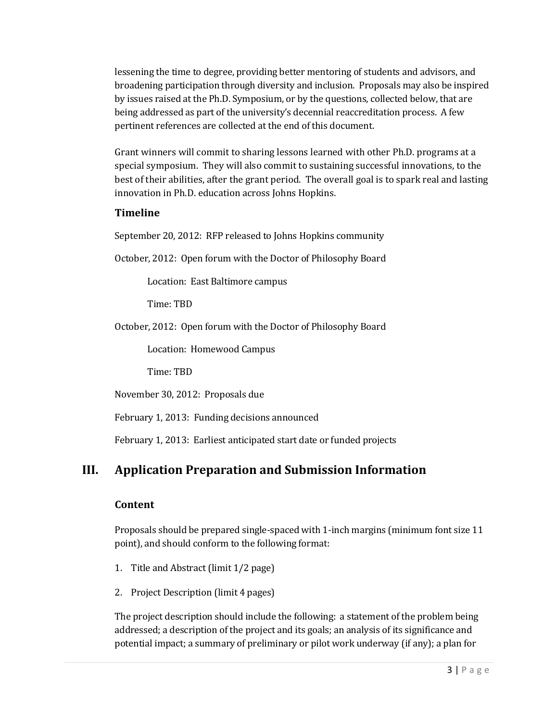lessening the time to degree, providing better mentoring of students and advisors, and broadening participation through diversity and inclusion. Proposals may also be inspired by issues raised at the Ph.D. Symposium, or by the questions, collected below, that are being addressed as part of the university's decennial reaccreditation process. A few pertinent references are collected at the end of this document.

Grant winners will commit to sharing lessons learned with other Ph.D. programs at a special symposium. They will also commit to sustaining successful innovations, to the best of their abilities, after the grant period. The overall goal is to spark real and lasting innovation in Ph.D. education across Johns Hopkins.

### **Timeline**

September 20, 2012: RFP released to Johns Hopkins community

October, 2012: Open forum with the Doctor of Philosophy Board

Location: East Baltimore campus

Time: TBD

October, 2012: Open forum with the Doctor of Philosophy Board

Location: Homewood Campus

Time: TBD

November 30, 2012: Proposals due

February 1, 2013: Funding decisions announced

February 1, 2013: Earliest anticipated start date or funded projects

## **III. Application Preparation and Submission Information**

### **Content**

Proposals should be prepared single-spaced with 1-inch margins (minimum font size 11 point), and should conform to the following format:

- 1. Title and Abstract (limit 1/2 page)
- 2. Project Description (limit 4 pages)

The project description should include the following: a statement of the problem being addressed; a description of the project and its goals; an analysis of its significance and potential impact; a summary of preliminary or pilot work underway (if any); a plan for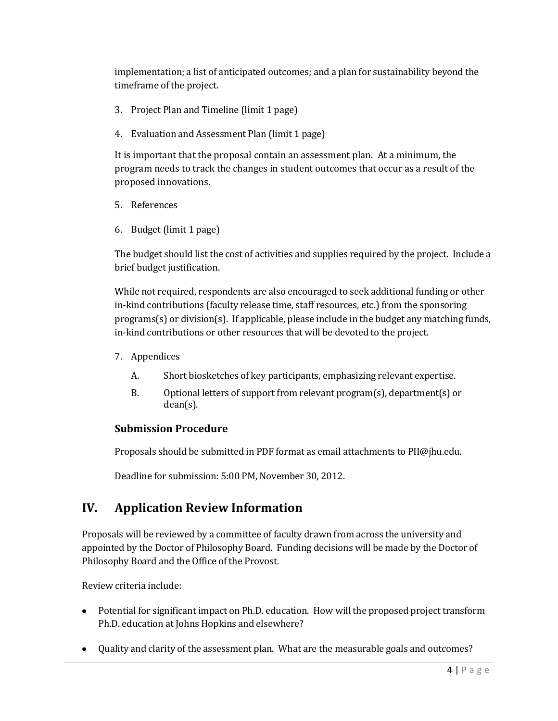implementation; a list of anticipated outcomes; and a plan for sustainability beyond the timeframe of the project.

- 3. Project Plan and Timeline (limit 1 page)
- 4. Evaluation and Assessment Plan (limit 1 page)

It is important that the proposal contain an assessment plan. At a minimum, the program needs to track the changes in student outcomes that occur as a result of the proposed innovations.

- 5. References
- 6. Budget (limit 1 page)

The budget should list the cost of activities and supplies required by the project. Include a brief budget justification.

While not required, respondents are also encouraged to seek additional funding or other in-kind contributions (faculty release time, staff resources, etc.) from the sponsoring programs(s) or division(s). If applicable, please include in the budget any matching funds, in-kind contributions or other resources that will be devoted to the project.

- 7. Appendices
	- A. Short biosketches of key participants, emphasizing relevant expertise.
	- B. Optional letters of support from relevant program(s), department(s) or dean(s).

### **Submission Procedure**

Proposals should be submitted in PDF format as email attachments to PII@jhu.edu.

Deadline for submission: 5:00 PM, November 30, 2012.

### **IV. Application Review Information**

Proposals will be reviewed by a committee of faculty drawn from across the university and appointed by the Doctor of Philosophy Board. Funding decisions will be made by the Doctor of Philosophy Board and the Office of the Provost.

Review criteria include:

- Potential for significant impact on Ph.D. education. How will the proposed project transform Ph.D. education at Johns Hopkins and elsewhere?
- Quality and clarity of the assessment plan. What are the measurable goals and outcomes?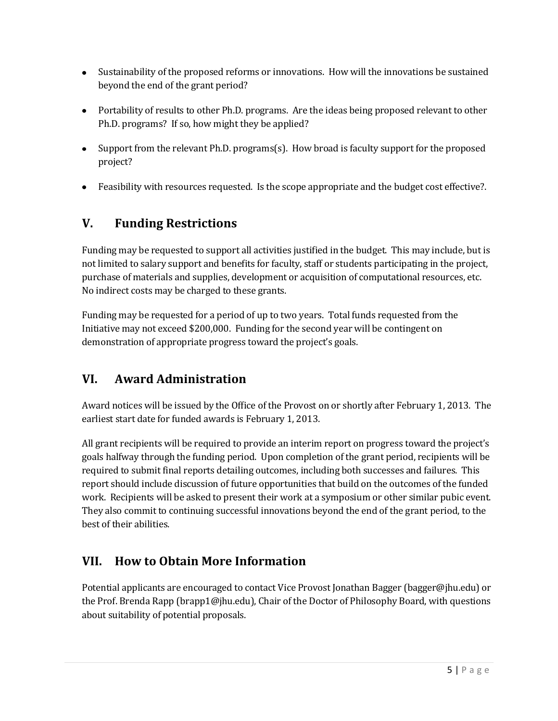- Sustainability of the proposed reforms or innovations. How will the innovations be sustained beyond the end of the grant period?
- Portability of results to other Ph.D. programs. Are the ideas being proposed relevant to other Ph.D. programs? If so, how might they be applied?
- Support from the relevant Ph.D. programs(s). How broad is faculty support for the proposed project?
- Feasibility with resources requested. Is the scope appropriate and the budget cost effective?.

# **V. Funding Restrictions**

Funding may be requested to support all activities justified in the budget. This may include, but is not limited to salary support and benefits for faculty, staff or students participating in the project, purchase of materials and supplies, development or acquisition of computational resources, etc. No indirect costs may be charged to these grants.

Funding may be requested for a period of up to two years. Total funds requested from the Initiative may not exceed \$200,000. Funding for the second year will be contingent on demonstration of appropriate progress toward the project's goals.

# **VI. Award Administration**

Award notices will be issued by the Office of the Provost on or shortly after February 1, 2013. The earliest start date for funded awards is February 1, 2013.

All grant recipients will be required to provide an interim report on progress toward the project's goals halfway through the funding period. Upon completion of the grant period, recipients will be required to submit final reports detailing outcomes, including both successes and failures. This report should include discussion of future opportunities that build on the outcomes of the funded work. Recipients will be asked to present their work at a symposium or other similar pubic event. They also commit to continuing successful innovations beyond the end of the grant period, to the best of their abilities.

## **VII. How to Obtain More Information**

Potential applicants are encouraged to contact Vice Provost Jonathan Bagger (bagger@jhu.edu) or the Prof. Brenda Rapp (brapp1@jhu.edu), Chair of the Doctor of Philosophy Board, with questions about suitability of potential proposals.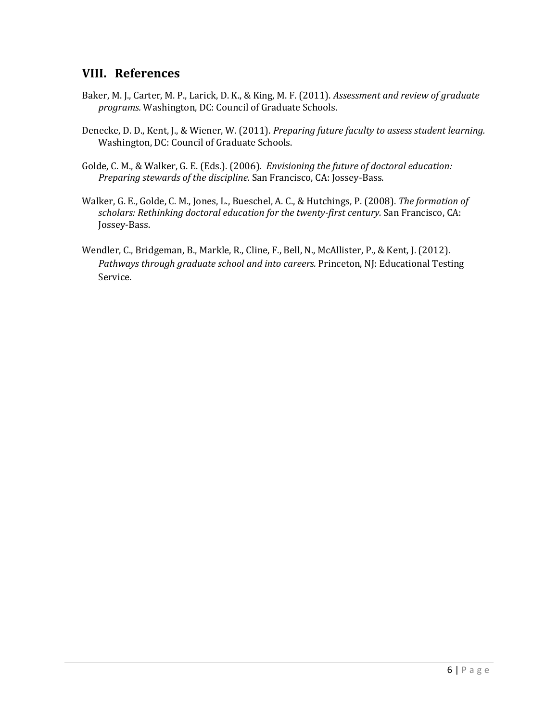### **VIII. References**

- Baker, M. J., Carter, M. P., Larick, D. K., & King, M. F. (2011). *Assessment and review of graduate programs.* Washington, DC: Council of Graduate Schools.
- Denecke, D. D., Kent, J., & Wiener, W. (2011). *Preparing future faculty to assess student learning.*  Washington, DC: Council of Graduate Schools.
- Golde, C. M., & Walker, G. E. (Eds.). (2006). *Envisioning the future of doctoral education: Preparing stewards of the discipline.* San Francisco, CA: Jossey-Bass.
- Walker, G. E., Golde, C. M., Jones, L., Bueschel, A. C., & Hutchings, P. (2008). *The formation of scholars: Rethinking doctoral education for the twenty-first century.* San Francisco, CA: Jossey-Bass.
- Wendler, C., Bridgeman, B., Markle, R., Cline, F., Bell, N., McAllister, P., & Kent, J. (2012). *Pathways through graduate school and into careers.* Princeton, NJ: Educational Testing Service.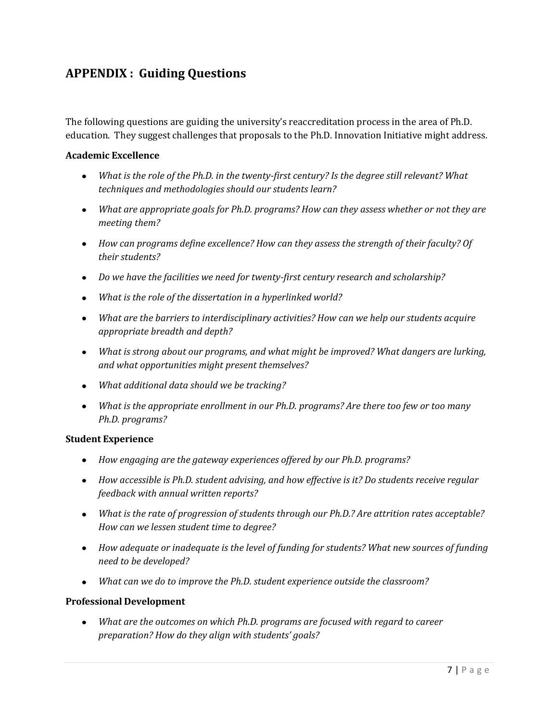## **APPENDIX : Guiding Questions**

The following questions are guiding the university's reaccreditation process in the area of Ph.D. education. They suggest challenges that proposals to the Ph.D. Innovation Initiative might address.

#### **Academic Excellence**

- *What is the role of the Ph.D. in the twenty-first century? Is the degree still relevant? What techniques and methodologies should our students learn?*
- *What are appropriate goals for Ph.D. programs? How can they assess whether or not they are meeting them?*
- *How can programs define excellence? How can they assess the strength of their faculty? Of their students?*
- *Do we have the facilities we need for twenty-first century research and scholarship?*
- *What is the role of the dissertation in a hyperlinked world?*
- *What are the barriers to interdisciplinary activities? How can we help our students acquire appropriate breadth and depth?*
- *What is strong about our programs, and what might be improved? What dangers are lurking, and what opportunities might present themselves?*
- *What additional data should we be tracking?*
- *What is the appropriate enrollment in our Ph.D. programs? Are there too few or too many Ph.D. programs?*

#### **Student Experience**

- *How engaging are the gateway experiences offered by our Ph.D. programs?*
- *How accessible is Ph.D. student advising, and how effective is it? Do students receive regular feedback with annual written reports?*
- *What is the rate of progression of students through our Ph.D.? Are attrition rates acceptable? How can we lessen student time to degree?*
- *How adequate or inadequate is the level of funding for students? What new sources of funding need to be developed?*
- *What can we do to improve the Ph.D. student experience outside the classroom?*

#### **Professional Development**

*What are the outcomes on which Ph.D. programs are focused with regard to career preparation? How do they align with students' goals?*